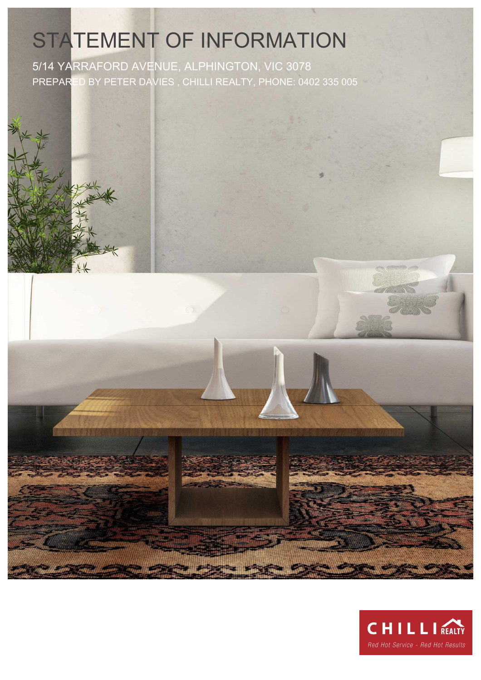# STATEMENT OF INFORMATION

5/14 YARRAFORD AVENUE, ALPHINGTON, VIC 3078 PREPARED BY PETER DAVIES , CHILLI REALTY, PHONE: 0402 335 005